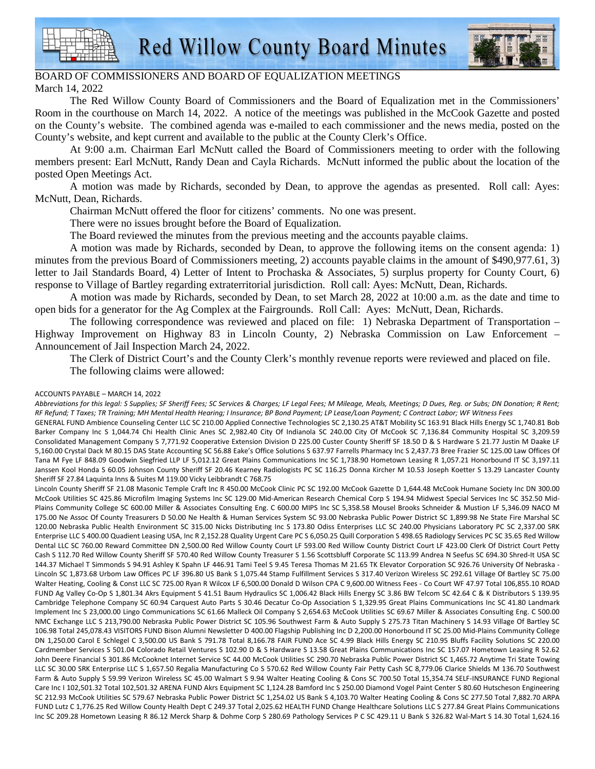



## BOARD OF COMMISSIONERS AND BOARD OF EQUALIZATION MEETINGS March 14, 2022

The Red Willow County Board of Commissioners and the Board of Equalization met in the Commissioners' Room in the courthouse on March 14, 2022. A notice of the meetings was published in the McCook Gazette and posted on the County's website. The combined agenda was e-mailed to each commissioner and the news media, posted on the County's website, and kept current and available to the public at the County Clerk's Office.

At 9:00 a.m. Chairman Earl McNutt called the Board of Commissioners meeting to order with the following members present: Earl McNutt, Randy Dean and Cayla Richards. McNutt informed the public about the location of the posted Open Meetings Act.

A motion was made by Richards, seconded by Dean, to approve the agendas as presented. Roll call: Ayes: McNutt, Dean, Richards.

Chairman McNutt offered the floor for citizens' comments. No one was present.

There were no issues brought before the Board of Equalization.

The Board reviewed the minutes from the previous meeting and the accounts payable claims.

A motion was made by Richards, seconded by Dean, to approve the following items on the consent agenda: 1) minutes from the previous Board of Commissioners meeting, 2) accounts payable claims in the amount of \$490,977.61, 3) letter to Jail Standards Board, 4) Letter of Intent to Prochaska & Associates, 5) surplus property for County Court, 6) response to Village of Bartley regarding extraterritorial jurisdiction. Roll call: Ayes: McNutt, Dean, Richards.

A motion was made by Richards, seconded by Dean, to set March 28, 2022 at 10:00 a.m. as the date and time to open bids for a generator for the Ag Complex at the Fairgrounds. Roll Call: Ayes: McNutt, Dean, Richards.

The following correspondence was reviewed and placed on file: 1) Nebraska Department of Transportation – Highway Improvement on Highway 83 in Lincoln County, 2) Nebraska Commission on Law Enforcement – Announcement of Jail Inspection March 24, 2022.

The Clerk of District Court's and the County Clerk's monthly revenue reports were reviewed and placed on file. The following claims were allowed:

## ACCOUNTS PAYABLE – MARCH 14, 2022

*Abbreviations for this legal: S Supplies; SF Sheriff Fees; SC Services & Charges; LF Legal Fees; M Mileage, Meals, Meetings; D Dues, Reg. or Subs; DN Donation; R Rent; RF Refund; T Taxes; TR Training; MH Mental Health Hearing; I Insurance; BP Bond Payment; LP Lease/Loan Payment; C Contract Labor; WF Witness Fees*  GENERAL FUND Ambience Counseling Center LLC SC 210.00 Applied Connective Technologies SC 2,130.25 AT&T Mobility SC 163.91 Black Hills Energy SC 1,740.81 Bob

Barker Company Inc S 1,044.74 Chi Health Clinic Anes SC 2,982.40 City Of Indianola SC 240.00 City Of McCook SC 7,136.84 Community Hospital SC 3,209.59 Consolidated Management Company S 7,771.92 Cooperative Extension Division D 225.00 Custer County Sheriff SF 18.50 D & S Hardware S 21.77 Justin M Daake LF 5,160.00 Crystal Dack M 80.15 DAS State Accounting SC 56.88 Eake's Office Solutions S 637.97 Farrells Pharmacy Inc S 2,437.73 Bree Frazier SC 125.00 Law Offices Of Tana M Fye LF 848.09 Goodwin Siegfried LLP LF 5,012.12 Great Plains Communications Inc SC 1,738.90 Hometown Leasing R 1,057.21 Honorbound IT SC 3,197.11 Janssen Kool Honda S 60.05 Johnson County Sheriff SF 20.46 Kearney Radiologists PC SC 116.25 Donna Kircher M 10.53 Joseph Koetter S 13.29 Lancaster County Sheriff SF 27.84 Laquinta Inns & Suites M 119.00 Vicky Leibbrandt C 768.75

Lincoln County Sheriff SF 21.08 Masonic Temple Craft Inc R 450.00 McCook Clinic PC SC 192.00 McCook Gazette D 1,644.48 McCook Humane Society Inc DN 300.00 McCook Utilities SC 425.86 Microfilm Imaging Systems Inc SC 129.00 Mid-American Research Chemical Corp S 194.94 Midwest Special Services Inc SC 352.50 Mid-Plains Community College SC 600.00 Miller & Associates Consulting Eng. C 600.00 MIPS Inc SC 5,358.58 Mousel Brooks Schneider & Mustion LF 5,346.09 NACO M 175.00 Ne Assoc Of County Treasurers D 50.00 Ne Health & Human Services System SC 93.00 Nebraska Public Power District SC 1,899.98 Ne State Fire Marshal SC 120.00 Nebraska Public Health Environment SC 315.00 Nicks Distributing Inc S 173.80 Odiss Enterprises LLC SC 240.00 Physicians Laboratory PC SC 2,337.00 SRK Enterprise LLC S 400.00 Quadient Leasing USA, Inc R 2,152.28 Quality Urgent Care PC S 6,050.25 Quill Corporation S 498.65 Radiology Services PC SC 35.65 Red Willow Dental LLC SC 760.00 Reward Committee DN 2,500.00 Red Willow County Court LF 593.00 Red Willow County District Court LF 423.00 Clerk Of District Court Petty Cash S 112.70 Red Willow County Sheriff SF 570.40 Red Willow County Treasurer S 1.56 Scottsbluff Corporate SC 113.99 Andrea N Seefus SC 694.30 Shred-It USA SC 144.37 Michael T Simmonds S 94.91 Ashley K Spahn LF 446.91 Tami Teel S 9.45 Teresa Thomas M 21.65 TK Elevator Corporation SC 926.76 University Of Nebraska - Lincoln SC 1,873.68 Urbom Law Offices PC LF 396.80 US Bank S 1,075.44 Stamp Fulfillment Services S 317.40 Verizon Wireless SC 292.61 Village Of Bartley SC 75.00 Walter Heating, Cooling & Const LLC SC 725.00 Ryan R Wilcox LF 6,500.00 Donald D Wilson CPA C 9,600.00 Witness Fees - Co Court WF 47.97 Total 106,855.10 ROAD FUND Ag Valley Co-Op S 1,801.34 Akrs Equipment S 41.51 Baum Hydraulics SC 1,006.42 Black Hills Energy SC 3.86 BW Telcom SC 42.64 C & K Distributors S 139.95 Cambridge Telephone Company SC 60.94 Carquest Auto Parts S 30.46 Decatur Co-Op Association S 1,329.95 Great Plains Communications Inc SC 41.80 Landmark Implement Inc S 23,000.00 Lingo Communications SC 61.66 Malleck Oil Company S 2,654.63 McCook Utilities SC 69.67 Miller & Associates Consulting Eng. C 500.00 NMC Exchange LLC S 213,790.00 Nebraska Public Power District SC 105.96 Southwest Farm & Auto Supply S 275.73 Titan Machinery S 14.93 Village Of Bartley SC 106.98 Total 245,078.43 VISITORS FUND Bison Alumni Newsletter D 400.00 Flagship Publishing Inc D 2,200.00 Honorbound IT SC 25.00 Mid-Plains Community College DN 1,250.00 Carol E Schlegel C 3,500.00 US Bank S 791.78 Total 8,166.78 FAIR FUND Ace SC 4.99 Black Hills Energy SC 210.95 Bluffs Facility Solutions SC 220.00 Cardmember Services S 501.04 Colorado Retail Ventures S 102.90 D & S Hardware S 13.58 Great Plains Communications Inc SC 157.07 Hometown Leasing R 52.62 John Deere Financial S 301.86 McCooknet Internet Service SC 44.00 McCook Utilities SC 290.70 Nebraska Public Power District SC 1,465.72 Anytime Tri State Towing LLC SC 30.00 SRK Enterprise LLC S 1,657.50 Regalia Manufacturing Co S 570.62 Red Willow County Fair Petty Cash SC 8,779.06 Clarice Shields M 136.70 Southwest Farm & Auto Supply S 59.99 Verizon Wireless SC 45.00 Walmart S 9.94 Walter Heating Cooling & Cons SC 700.50 Total 15,354.74 SELF-INSURANCE FUND Regional Care Inc I 102,501.32 Total 102,501.32 ARENA FUND Akrs Equipment SC 1,124.28 Bamford Inc S 250.00 Diamond Vogel Paint Center S 80.60 Hutscheson Engineering SC 212.93 McCook Utilities SC 579.67 Nebraska Public Power District SC 1,254.02 US Bank S 4,103.70 Walter Heating Cooling & Cons SC 277.50 Total 7,882.70 ARPA FUND Lutz C 1,776.25 Red Willow County Health Dept C 249.37 Total 2,025.62 HEALTH FUND Change Healthcare Solutions LLC S 277.84 Great Plains Communications Inc SC 209.28 Hometown Leasing R 86.12 Merck Sharp & Dohme Corp S 280.69 Pathology Services P C SC 429.11 U Bank S 326.82 Wal-Mart S 14.30 Total 1,624.16